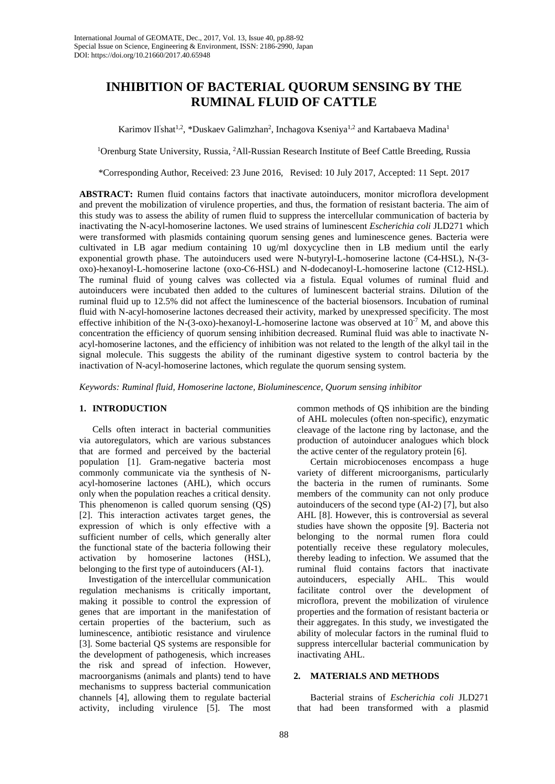# **INHIBITION OF BACTERIAL QUORUM SENSING BY THE RUMINAL FLUID OF CATTLE**

Karimov Il<sup>'</sup>shat<sup>1,2</sup>, \*Duskaev Galimzhan<sup>2</sup>, Inchagova Kseniya<sup>1,2</sup> and Kartabaeva Madina<sup>1</sup>

<sup>1</sup>Orenburg State University, Russia, <sup>2</sup>All-Russian Research Institute of Beef Cattle Breeding, Russia

\*Corresponding Author, Received: 23 June 2016, Revised: 10 July 2017, Accepted: 11 Sept. 2017

**ABSTRACT:** Rumen fluid contains factors that inactivate autoinducers, monitor microflora development and prevent the mobilization of virulence properties, and thus, the formation of resistant bacteria. The aim of this study was to assess the ability of rumen fluid to suppress the intercellular communication of bacteria by inactivating the N-acyl-homoserine lactones. We used strains of luminescent *Escherichia coli* JLD271 which were transformed with plasmids containing quorum sensing genes and luminescence genes. Bacteria were cultivated in LB agar medium containing 10 ug/ml doxycycline then in LB medium until the early exponential growth phase. The autoinducers used were N-butyryl-L-homoserine lactone (C4-HSL), N-(3 oxo)-hexanoyl-L-homoserine lactone (oxo-С6-HSL) and N-dodecanoyl-L-homoserine lactone (C12-HSL). The ruminal fluid of young calves was collected via a fistula. Equal volumes of ruminal fluid and autoinducers were incubated then added to the cultures of luminescent bacterial strains. Dilution of the ruminal fluid up to 12.5% did not affect the luminescence of the bacterial biosensors. Incubation of ruminal fluid with N-acyl-homoserine lactones decreased their activity, marked by unexpressed specificity. The most effective inhibition of the N-(3-oxo)-hexanoyl-L-homoserine lactone was observed at  $10^{-7}$  M, and above this concentration the efficiency of quorum sensing inhibition decreased. Ruminal fluid was able to inactivate Nacyl-homoserine lactones, and the efficiency of inhibition was not related to the length of the alkyl tail in the signal molecule. This suggests the ability of the ruminant digestive system to control bacteria by the inactivation of N-acyl-homoserine lactones, which regulate the quorum sensing system.

*Keywords: Ruminal fluid, Homoserine lactone, Bioluminescence, Quorum sensing inhibitor*

### **1. INTRODUCTION**

Cells often interact in bacterial communities via autoregulators, which are various substances that are formed and perceived by the bacterial population [1]. Gram-negative bacteria most commonly communicate via the synthesis of Nacyl-homoserine lactones (AHL), which occurs only when the population reaches a critical density. This phenomenon is called quorum sensing (QS) [2]. This interaction activates target genes, the expression of which is only effective with a sufficient number of cells, which generally alter the functional state of the bacteria following their activation by homoserine lactones (HSL), belonging to the first type of autoinducers (AI-1).

Investigation of the intercellular communication regulation mechanisms is critically important, making it possible to control the expression of genes that are important in the manifestation of certain properties of the bacterium, such as luminescence, antibiotic resistance and virulence [3]. Some bacterial QS systems are responsible for the development of pathogenesis, which increases the risk and spread of infection. However, macroorganisms (animals and plants) tend to have mechanisms to suppress bacterial communication channels [4], allowing them to regulate bacterial activity, including virulence [5]. The most

common methods of QS inhibition are the binding of AHL molecules (often non-specific), enzymatic cleavage of the lactone ring by lactonase, and the production of autoinducer analogues which block the active center of the regulatory protein [6].

Certain microbiocenoses encompass a huge variety of different microorganisms, particularly the bacteria in the rumen of ruminants. Some members of the community can not only produce autoinducers of the second type (AI-2) [7], but also AHL [8]. However, this is controversial as several studies have shown the opposite [9]. Bacteria not belonging to the normal rumen flora could potentially receive these regulatory molecules, thereby leading to infection. We assumed that the ruminal fluid contains factors that inactivate autoinducers, especially AHL. This would facilitate control over the development of microflora, prevent the mobilization of virulence properties and the formation of resistant bacteria or their aggregates. In this study, we investigated the ability of molecular factors in the ruminal fluid to suppress intercellular bacterial communication by inactivating AHL.

## **2. MATERIALS AND METHODS**

Bacterial strains of *Escherichia coli* JLD271 that had been transformed with a plasmid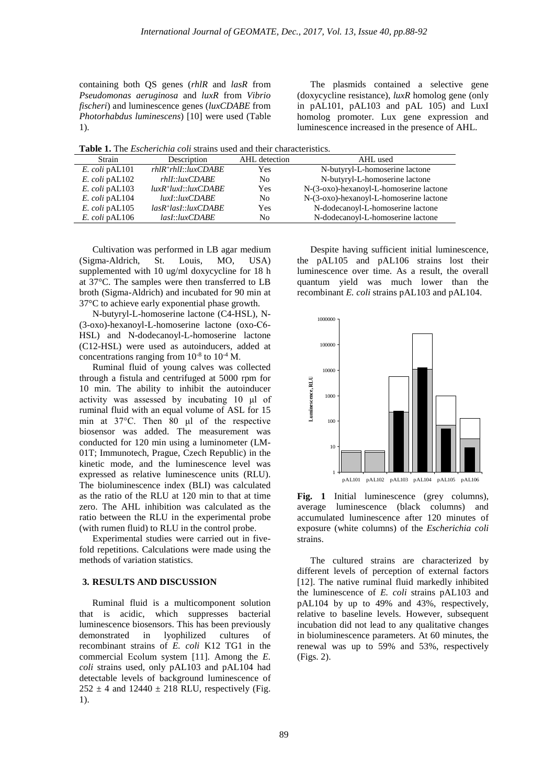containing both QS genes (*rhlR* and *lasR* from *Pseudomonas aeruginosa* and *luxR* from *Vibrio fischeri*) and luminescence genes (*luxCDABE* from *Photorhabdus luminescens*) [10] were used (Table 1).

The plasmids contained a selective gene (doxycycline resistance), *luxR* homolog gene (only in pAL101, pAL103 and pAL 105) and LuxI homolog promoter. Lux gene expression and luminescence increased in the presence of AHL.

**Table 1.** The *Escherichia coli* strains used and their characteristics.

| Strain           | Description                                                          | AHL detection  | AHL used                                |  |
|------------------|----------------------------------------------------------------------|----------------|-----------------------------------------|--|
| $E.$ coli pAL101 | $rh$ <sup>+<math>rh</math><math>ll</math>:<math>lx</math>CDABE</sup> | Yes            | N-butyryl-L-homoserine lactone          |  |
| E. coli pAL102   | $r h ll$ :: $luxCDABE$                                               | N <sub>0</sub> | N-butyryl-L-homoserine lactone          |  |
| E. coli pAL103   | $luxR^+luxI::luxCDABE$                                               | Yes            | N-(3-oxo)-hexanoyl-L-homoserine lactone |  |
| E. coli pAL104   | luxI::luxCDABE                                                       | No             | N-(3-oxo)-hexanoyl-L-homoserine lactone |  |
| E. coli pAL105   | $lasR^{+}lasI::luxCDABE$                                             | Yes            | N-dodecanoyl-L-homoserine lactone       |  |
| $E.$ coli pAL106 | lasI::luxCDABE                                                       | No             | N-dodecanovl-L-homoserine lactone       |  |

Cultivation was performed in LB agar medium (Sigma-Aldrich, St. Louis, MO, USA) supplemented with 10 ug/ml doxycycline for 18 h at 37°C. The samples were then transferred to LB broth (Sigma-Aldrich) and incubated for 90 min at 37°C to achieve early exponential phase growth.

N-butyryl-L-homoserine lactone (C4-HSL), N- (3-oxo)-hexanoyl-L-homoserine lactone (oxo-С6- HSL) and N-dodecanoyl-L-homoserine lactone (C12-HSL) were used as autoinducers, added at concentrations ranging from  $10^{-8}$  to  $10^{-4}$  M.

Ruminal fluid of young calves was collected through a fistula and centrifuged at 5000 rpm for 10 min. The ability to inhibit the autoinducer activity was assessed by incubating 10 μl of ruminal fluid with an equal volume of ASL for 15 min at 37°C. Then 80 μl of the respective biosensor was added. The measurement was conducted for 120 min using a luminometer (LM-01T; Immunotech, Prague, Czech Republic) in the kinetic mode, and the luminescence level was expressed as relative luminescence units (RLU). The bioluminescence index (BLI) was calculated as the ratio of the RLU at 120 min to that at time zero. The AHL inhibition was calculated as the ratio between the RLU in the experimental probe (with rumen fluid) to RLU in the control probe.

Experimental studies were carried out in fivefold repetitions. Calculations were made using the methods of variation statistics.

### **3. RESULTS AND DISCUSSION**

Ruminal fluid is a multicomponent solution that is acidic, which suppresses bacterial luminescence biosensors. This has been previously demonstrated in lyophilized cultures of recombinant strains of *E. coli* K12 TG1 in the commercial Eсolum system [11]. Among the *E. coli* strains used, only pAL103 and pAL104 had detectable levels of background luminescence of  $252 \pm 4$  and  $12440 \pm 218$  RLU, respectively (Fig. 1).

Despite having sufficient initial luminescence, the pAL105 and pAL106 strains lost their luminescence over time. As a result, the overall quantum yield was much lower than the recombinant *E. coli* strains pAL103 and pAL104.



**Fig. 1** Initial luminescence (grey columns), average luminescence (black columns) and accumulated luminescence after 120 minutes of exposure (white columns) of the *Escherichia coli* strains.

The cultured strains are characterized by different levels of perception of external factors [12]. The native ruminal fluid markedly inhibited the luminescence of *E. coli* strains pAL103 and pAL104 by up to 49% and 43%, respectively, relative to baseline levels. However, subsequent incubation did not lead to any qualitative changes in bioluminescence parameters. At 60 minutes, the renewal was up to 59% and 53%, respectively (Figs. 2).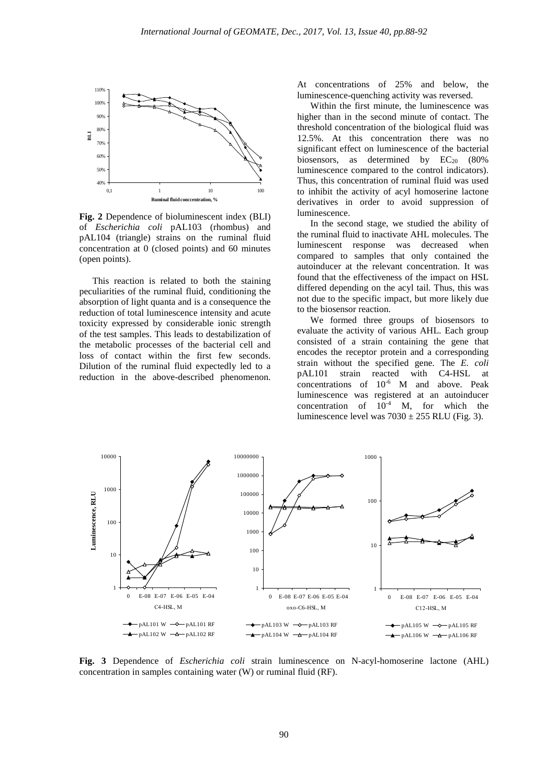

**Fig. 2** Dependence of bioluminescent index (BLI) of *Escherichia coli* pAL103 (rhombus) and pAL104 (triangle) strains on the ruminal fluid concentration at 0 (closed points) and 60 minutes (open points).

This reaction is related to both the staining peculiarities of the ruminal fluid, conditioning the absorption of light quanta and is a consequence the reduction of total luminescence intensity and acute toxicity expressed by considerable ionic strength of the test samples. This leads to destabilization of the metabolic processes of the bacterial cell and loss of contact within the first few seconds. Dilution of the ruminal fluid expectedly led to a reduction in the above-described phenomenon. At concentrations of 25% and below, the luminescence-quenching activity was reversed.

Within the first minute, the luminescence was higher than in the second minute of contact. The threshold concentration of the biological fluid was 12.5%. At this concentration there was no significant effect on luminescence of the bacterial biosensors, as determined by  $EC_{20}$  (80%) luminescence compared to the control indicators). Thus, this concentration of ruminal fluid was used to inhibit the activity of acyl homoserine lactone derivatives in order to avoid suppression of luminescence.

In the second stage, we studied the ability of the ruminal fluid to inactivate AHL molecules. The luminescent response was decreased when compared to samples that only contained the autoinducer at the relevant concentration. It was found that the effectiveness of the impact on HSL differed depending on the acyl tail. Thus, this was not due to the specific impact, but more likely due to the biosensor reaction.

We formed three groups of biosensors to evaluate the activity of various AHL. Each group consisted of a strain containing the gene that encodes the receptor protein and a corresponding strain without the specified gene. The *E. coli* pAL101 strain reacted with C4-HSL at concentrations of  $10^{-6}$  M and above. Peak luminescence was registered at an autoinducer concentration of  $10^{-4}$  M, for which the luminescence level was  $7030 \pm 255$  RLU (Fig. 3).



**Fig. 3** Dependence of *Escherichia coli* strain luminescence on N-acyl-homoserine lactone (AHL) concentration in samples containing water (W) or ruminal fluid (RF).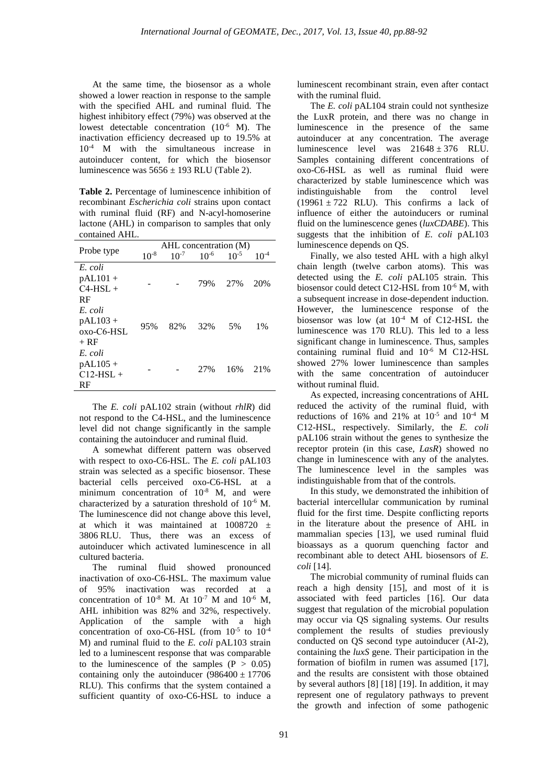At the same time, the biosensor as a whole showed a lower reaction in response to the sample with the specified AHL and ruminal fluid. The highest inhibitory effect (79%) was observed at the lowest detectable concentration  $(10^{-6}$  M). The inactivation efficiency decreased up to 19.5% at 10-4 M with the simultaneous increase in autoinducer content, for which the biosensor luminescence was  $5656 \pm 193$  RLU (Table 2).

**Table 2.** Percentage of luminescence inhibition of recombinant *Escherichia coli* strains upon contact with ruminal fluid (RF) and N-acyl-homoserine lactone (AHL) in comparison to samples that only contained AHL.

|             | AHL concentration (M) |           |           |           |           |  |
|-------------|-----------------------|-----------|-----------|-----------|-----------|--|
| Probe type  | $10^{-8}$             | $10^{-7}$ | $10^{-6}$ | $10^{-5}$ | $10^{-4}$ |  |
| E. coli     |                       |           |           |           |           |  |
| $pAL101 +$  |                       |           | 79%       | 27%       | 20%       |  |
| $C4-HSI. +$ |                       |           |           |           |           |  |
| RF          |                       |           |           |           |           |  |
| E. coli     |                       |           |           |           |           |  |
| $pAL103 +$  | 95%                   | 82%       | 32%       | 5%        | $1\%$     |  |
| oxo-C6-HSL  |                       |           |           |           |           |  |
| $+$ RF      |                       |           |           |           |           |  |
| E. coli     |                       |           |           |           |           |  |
| $pAL105 +$  |                       |           | 2.7%      | 16%       | 21%       |  |
| $C12-HSL +$ |                       |           |           |           |           |  |
| RF          |                       |           |           |           |           |  |

The *E. coli* pAL102 strain (without *rhlR*) did not respond to the C4-HSL, and the luminescence level did not change significantly in the sample containing the autoinducer and ruminal fluid.

A somewhat different pattern was observed with respect to oxo-C6-HSL. The *E. coli* pAL103 strain was selected as a specific biosensor. These bacterial cells perceived oxo-C6-HSL at a minimum concentration of  $10^{-8}$  M, and were characterized by a saturation threshold of 10-6 M. The luminescence did not change above this level, at which it was maintained at  $1008720 \pm$ 3806 RLU. Thus, there was an excess of autoinducer which activated luminescence in all cultured bacteria.

The ruminal fluid showed pronounced inactivation of oxo-C6-HSL. The maximum value of 95% inactivation was recorded at a concentration of  $10^{-8}$  M. At  $10^{-7}$  M and  $10^{-6}$  M, AHL inhibition was 82% and 32%, respectively. Application of the sample with a high concentration of oxo-C6-HSL (from  $10^{-5}$  to  $10^{-4}$ M) and ruminal fluid to the *E. coli* pAL103 strain led to a luminescent response that was comparable to the luminescence of the samples  $(P > 0.05)$ containing only the autoinducer  $(986400 \pm 17706$ RLU). This confirms that the system contained a sufficient quantity of oxo-C6-HSL to induce a

luminescent recombinant strain, even after contact with the ruminal fluid.

The *E. coli* pAL104 strain could not synthesize the LuxR protein, and there was no change in luminescence in the presence of the same autoinducer at any concentration. The average luminescence level was  $21648 \pm 376$  RLU. Samples containing different concentrations of oxo-C6-HSL as well as ruminal fluid were characterized by stable luminescence which was indistinguishable from the control level  $(19961 \pm 722$  RLU). This confirms a lack of influence of either the autoinducers or ruminal fluid on the luminescence genes (*luxCDABE*). This suggests that the inhibition of *E. coli* pAL103 luminescence depends on QS.

Finally, we also tested AHL with a high alkyl chain length (twelve carbon atoms). This was detected using the *E. coli* pAL105 strain. This biosensor could detect C12-HSL from 10<sup>-6</sup> M, with a subsequent increase in dose-dependent induction. However, the luminescence response of the biosensor was low (at  $10^{-4}$  M of C12-HSL the luminescence was 170 RLU). This led to a less significant change in luminescence. Thus, samples containing ruminal fluid and  $10^{-6}$  M C12-HSL showed 27% lower luminescence than samples with the same concentration of autoinducer without ruminal fluid.

As expected, increasing concentrations of AHL reduced the activity of the ruminal fluid, with reductions of 16% and 21% at  $10^{-5}$  and  $10^{-4}$  M C12-HSL, respectively. Similarly, the *E. coli* pAL106 strain without the genes to synthesize the receptor protein (in this case, *LasR*) showed no change in luminescence with any of the analytes. The luminescence level in the samples was indistinguishable from that of the controls.

In this study, we demonstrated the inhibition of bacterial intercellular communication by ruminal fluid for the first time. Despite conflicting reports in the literature about the presence of AHL in mammalian species [13], we used ruminal fluid bioassays as a quorum quenching factor and recombinant able to detect AHL biosensors of *E. coli* [14].

The microbial community of ruminal fluids can reach a high density [15], and most of it is associated with feed particles [16]. Our data suggest that regulation of the microbial population may occur via QS signaling systems. Our results complement the results of studies previously conducted on QS second type autoinducer (AI-2), containing the *luxS* gene. Their participation in the formation of biofilm in rumen was assumed [17], and the results are consistent with those obtained by several authors [8] [18] [19]. In addition, it may represent one of regulatory pathways to prevent the growth and infection of some pathogenic